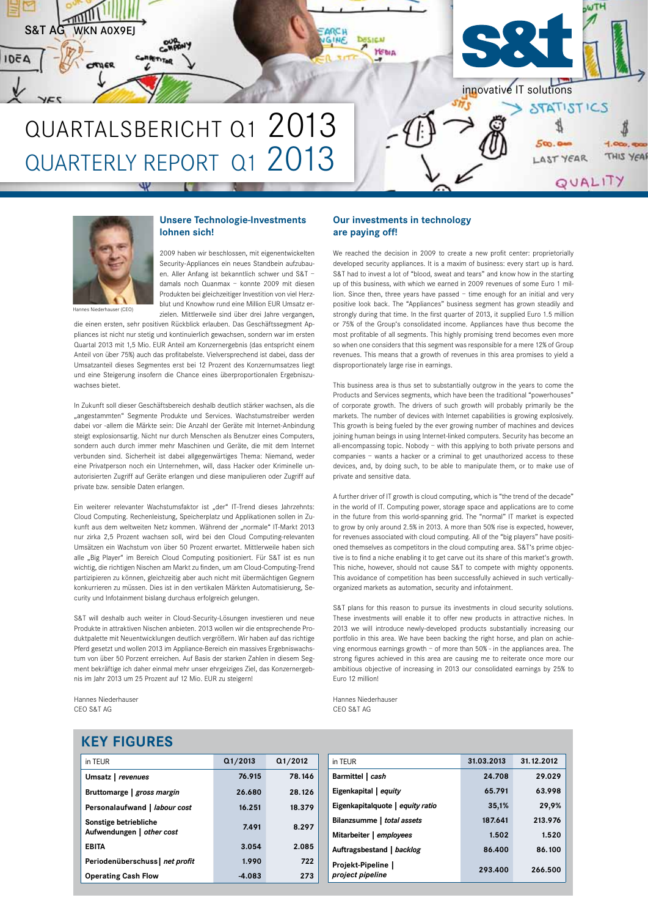



#### **Unsere Technologie-Investments lohnen sich!**

2009 haben wir beschlossen, mit eigenentwickelten Security-Appliances ein neues Standbein aufzubauen. Aller Anfang ist bekanntlich schwer und S&T – damals noch Quanmax – konnte 2009 mit diesen Produkten bei gleichzeitiger Investition von viel Herzblut und Knowhow rund eine Million EUR Umsatz erzielen. Mittlerweile sind über drei Jahre vergangen,

die einen ersten, sehr positiven Rückblick erlauben. Das Geschäftssegment Ap-

pliances ist nicht nur stetig und kontinuierlich gewachsen, sondern war im ersten Quartal 2013 mit 1,5 Mio. EUR Anteil am Konzernergebnis (das entspricht einem Anteil von über 75%) auch das profitabelste. Vielversprechend ist dabei, dass der Umsatzanteil dieses Segmentes erst bei 12 Prozent des Konzernumsatzes liegt und eine Steigerung insofern die Chance eines überproportionalen Ergebniszuwachses bietet.

In Zukunft soll dieser Geschäftsbereich deshalb deutlich stärker wachsen, als die "angestammten" Segmente Produkte und Services. Wachstumstreiber werden dabei vor -allem die Märkte sein: Die Anzahl der Geräte mit Internet-Anbindung steigt explosionsartig. Nicht nur durch Menschen als Benutzer eines Computers, sondern auch durch immer mehr Maschinen und Geräte, die mit dem Internet verbunden sind. Sicherheit ist dabei allgegenwärtiges Thema: Niemand, weder eine Privatperson noch ein Unternehmen, will, dass Hacker oder Kriminelle unautorisierten Zugriff auf Geräte erlangen und diese manipulieren oder Zugriff auf private bzw. sensible Daten erlangen.

Ein weiterer relevanter Wachstumsfaktor ist "der" IT-Trend dieses Jahrzehnts: Cloud Computing. Rechenleistung, Speicherplatz und Applikationen sollen in Zukunft aus dem weltweiten Netz kommen. Während der "normale" IT-Markt 2013 nur zirka 2,5 Prozent wachsen soll, wird bei den Cloud Computing-relevanten Umsätzen ein Wachstum von über 50 Prozent erwartet. Mittlerweile haben sich alle "Big Player" im Bereich Cloud Computing positioniert. Für S&T ist es nun wichtig, die richtigen Nischen am Markt zu finden, um am Cloud-Computing-Trend partizipieren zu können, gleichzeitig aber auch nicht mit übermächtigen Gegnern konkurrieren zu müssen. Dies ist in den vertikalen Märkten Automatisierung, Security und Infotainment bislang durchaus erfolgreich gelungen.

S&T will deshalb auch weiter in Cloud-Security-Lösungen investieren und neue Produkte in attraktiven Nischen anbieten. 2013 wollen wir die entsprechende Produktpalette mit Neuentwicklungen deutlich vergrößern. Wir haben auf das richtige Pferd gesetzt und wollen 2013 im Appliance-Bereich ein massives Ergebniswachstum von über 50 Porzent erreichen. Auf Basis der starken Zahlen in diesem Segment bekräftige ich daher einmal mehr unser ehrgeiziges Ziel, das Konzernergebnis im Jahr 2013 um 25 Prozent auf 12 Mio. EUR zu steigern!

Hannes Niederhauser CEO S&T AG

#### **Our investments in technology are paying off!**

We reached the decision in 2009 to create a new profit center: proprietorially developed security appliances. It is a maxim of business: every start up is hard. S&T had to invest a lot of "blood, sweat and tears" and know how in the starting up of this business, with which we earned in 2009 revenues of some Euro 1 million. Since then, three years have passed – time enough for an initial and very positive look back. The "Appliances" business segment has grown steadily and strongly during that time. In the first quarter of 2013, it supplied Euro 1.5 million or 75% of the Group's consolidated income. Appliances have thus become the most profitable of all segments. This highly promising trend becomes even more so when one considers that this segment was responsible for a mere 12% of Group revenues. This means that a growth of revenues in this area promises to yield a disproportionately large rise in earnings.

This business area is thus set to substantially outgrow in the years to come the Products and Services segments, which have been the traditional "powerhouses" of corporate growth. The drivers of such growth will probably primarily be the markets. The number of devices with Internet capabilities is growing explosively. This growth is being fueled by the ever growing number of machines and devices joining human beings in using Internet-linked computers. Security has become an all-encompassing topic. Nobody – with this applying to both private persons and companies – wants a hacker or a criminal to get unauthorized access to these devices, and, by doing such, to be able to manipulate them, or to make use of private and sensitive data.

A further driver of IT growth is cloud computing, which is "the trend of the decade" in the world of IT. Computing power, storage space and applications are to come in the future from this world-spanning grid. The "normal" IT market is expected to grow by only around 2.5% in 2013. A more than 50% rise is expected, however, for revenues associated with cloud computing. All of the "big players" have positioned themselves as competitors in the cloud computing area. S&T's prime objective is to find a niche enabling it to get carve out its share of this market's growth. This niche, however, should not cause S&T to compete with mighty opponents. This avoidance of competition has been successfully achieved in such verticallyorganized markets as automation, security and infotainment.

S&T plans for this reason to pursue its investments in cloud security solutions. These investments will enable it to offer new products in attractive niches. In 2013 we will introduce newly-developed products substantially increasing our portfolio in this area. We have been backing the right horse, and plan on achieving enormous earnings growth – of more than 50% - in the appliances area. The strong figures achieved in this area are causing me to reiterate once more our ambitious objective of increasing in 2013 our consolidated earnings by 25% to Euro 12 million!

Hannes Niederhauser CEO S&T AG

|  | <b>KEY FIGURES</b> |
|--|--------------------|
|  |                    |

| in TEUR                                            | Q1/2013  | Q1/2012 |
|----------------------------------------------------|----------|---------|
| Umsatz   revenues                                  | 76.915   | 78.146  |
| Bruttomarge   gross margin                         | 26.680   | 28.126  |
| Personalaufwand   labour cost                      | 16.251   | 18.379  |
| Sonstige betriebliche<br>Aufwendungen   other cost | 7.491    | 8.297   |
| <b>EBITA</b>                                       | 3.054    | 2.085   |
| Periodenüberschuss net profit                      | 1.990    | 722     |
| <b>Operating Cash Flow</b>                         | $-4.083$ | 273     |

| in TEUR                                | 31.03.2013 | 31.12.2012 |
|----------------------------------------|------------|------------|
| Barmittel   cash                       | 24.708     | 29.029     |
| Eigenkapital   equity                  | 65.791     | 63.998     |
| Eigenkapitalquote   equity ratio       | 35,1%      | 29,9%      |
| Bilanzsumme   total assets             | 187.641    | 213.976    |
| Mitarbeiter   employees                | 1.502      | 1.520      |
| Auftragsbestand   backlog              | 86.400     | 86.100     |
| Projekt-Pipeline  <br>project pipeline | 293.400    | 266.500    |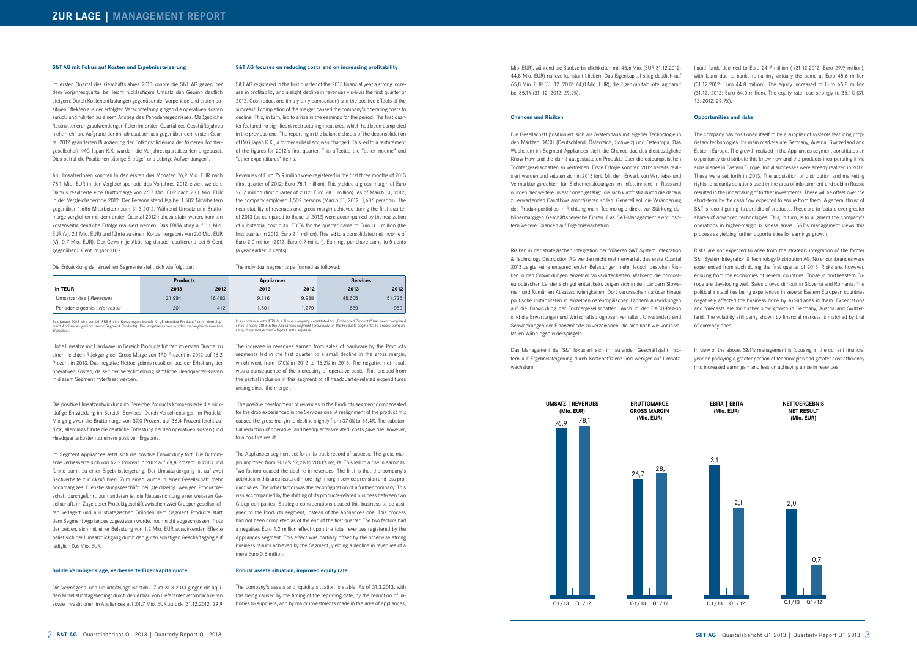#### **S&T AG focuses on reducing costs and on increasing profitability**

S&T AG registered in the first quarter of the 2013 financial year a strong increase in profitability and a slight decline in revenues vis-à-vis the first quarter of 2012. Cost reductions (in a y-on-y comparison) and the positive effects of the successful completion of the merger caused the company's operating costs to decline. This, in turn, led to a rise in the earnings for the period. The first quarter featured no significant restructuring measures, which had been completed in the previous one. The reporting in the balance sheets of the deconsolidation of IMG Japan K.K., a former subsidiary, was changed. This led to a restatement of the figures for 2012's first quarter. This affected the "other income" and "other expenditures" items.

Revenues of Euro 76.9 million were registered in the first three months of 2013 (first quarter of 2012: Euro 78.1 million). This yielded a gross margin of Euro 26.7 million (first quarter of 2012: Euro 28.1 million). As of March 31, 2012, the company employed 1,502 persons (March 31, 2012: 1,686 persons). The near-stability of revenues and gross margin achieved during the first quarter of 2013 (as compared to those of 2012) were accompanied by the realization of substantial cost cuts. EBITA for the quarter came to Euro 3.1 million (the first quarter in 2012: Euro 2.1 million). This led to a consolidated net income of Euro 2.0 million (2012: Euro 0.7 million). Earnings per share came to 5 cents (a year earlier: 3 cents).

#### The individual segments performed as followed:

The Appliances segment set forth its track record of success. The gross margin improved from 2012's 62,2% to 2013's 69,8%. This led to a rise in earnings. Two factors caused the decline in revenues. The first is that the company's activities in this area featured more high-margin service provision and less product sales. The other factor was the reconfiguration of a further company. This was accompanied by the shifting of its products-related business between two Group companies. Strategic considerations caused this business to be assigned to the Products segment, instead of the Appliances one. This process had not been completed as of the end of the first quarter. The two factors had a negative, Euro 1.2 million effect upon the total revenues registered by the Appliances segment. This effect was partially offset by the otherwise strong business results achieved by the Segment, yielding a decline in revenues of a mere Euro 0.6 million.

Im ersten Quartal des Geschäftsjahres 2013 konnte die S&T AG gegenüber dem Vorjahresquartal bei leicht rückläufigem Umsatz den Gewinn deutlich steigern. Durch Kostenentlastungen gegenüber der Vorperiode und ersten positiven Effekten aus der erfolgten Verschmelzung gingen die operativen Kosten zurück und führten zu einem Anstieg des Periodenergebnisses. Maßgebliche Restrukturierungsaufwendungen fielen im ersten Quartal des Geschäftsjahres nicht mehr an. Aufgrund der im Jahresabschluss gegenüber dem ersten Quartal 2012 geänderten Bilanzierung der Entkonsolidierung der früheren Tochtergesellschaft IMG Japan K.K. wurden die Vorjahresquartalszahlen angepasst. Dies betraf die Positionen "übrige Erträge" und "übrige Aufwendungen".

> The increase in revenues earned from sales of hardware by the Products segments led in the first quarter to a small decline in the gross margin, which went from 17,0% in 2012 to 16,2% in 2013. The negative net result was a consequence of the increasing of operative costs. This ensued from the partial inclusion in this segment of all headquarter-related expenditures arising since the merger.

> The positive development of revenues in the Products segment compensated for the drop experienced in the Services one. A realignment of the product mix caused the gross margin to decline slightly from 37,0% to 36,4%. The substantial reduction of operative (and headquarters-related) costs gave rise, however, to a positive result.

#### **Robust assets situation, improved equity rate**

The company's assets and liquidity situation is stable. As of 31.3.2013, with this being caused by the timing of the reporting date, by the reduction of liabilities to suppliers, and by major investments made in the area of appliances,

#### **S&T AG mit Fokus auf Kosten und Ergebnissteigerung**

An Umsatzerlösen konnten In den ersten drei Monaten 76,9 Mio. EUR nach 78,1 Mio. EUR in der Vergleichsperiode des Vorjahres 2012 erzielt werden. Daraus resultierte eine Bruttomarge von 26,7 Mio. EUR nach 28,1 Mio. EUR in der Vergleichsperiode 2012. Der Personalstand lag bei 1.502 Mitarbeitern gegenüber 1.686 Mitarbeitern zum 31.3.2012. Während Umsatz und Bruttomarge verglichen mit dem ersten Quartal 2012 nahezu stabil waren, konnten kostenseitig deutliche Erfolge realisiert werden. Das EBITA stieg auf 3,1 Mio. EUR (Vj. 2,1 Mio. EUR) und führte zu einem Konzernergebnis von 2,0 Mio. EUR (Vj. 0,7 Mio. EUR). Der Gewinn je Aktie lag daraus resuliterend bei 5 Cent gegenüber 3 Cent im Jahr 2012.

Mio. EUR), während die Bankverbindlichkeiten mit 45,6 Mio. (EUR 31.12.2012: 44,8 Mio. EUR) nahezu konstant blieben. Das Eigenkapital stieg deutlich auf 65,8 Mio. EUR (31. 12. 2012: 64,0 Mio. EUR), die Eigenkapitalquote lag damit bei 35,1% (31. 12. 2012: 29,9%).

Die Entwicklung der einzelnen Segmente stellt sich wie folgt dar:

Hohe Umsätze mit Hardware im Bereich Products führten im ersten Quartal zu einem leichten Rückgang der Gross Marge von 17,0 Prozent in 2012 auf 16,2 Prozent in 2013. Das negative Nettoergebnis resultiert aus der Erhöhung der operativen Kosten, da seit der Verschmelzung sämtliche Headquarter-Kosten in diesem Segment miterfasst werden.

Die positive Umsatzentwicklung im Bereiche Products kompensierte die rückläufige Entwicklung im Bereich Services. Durch Verschiebungen im Produkt-Mix ging zwar die Bruttomarge von 37,0 Prozent auf 36,4 Prozent leicht zurück, allerdings führte die deutliche Entlastung bei den operativen Kosten (und Headquarterkosten) zu einem positiven Ergebnis.

Im Segment Appliances setzt sich die positive Entwicklung fort. Die Buttomarge verbesserte sich von 62,2 Prozent in 2012 auf 69,8 Prozent in 2013 und führte damit zu einer Ergebnissteigerung. Der Umsatzrückgang ist auf zwei Sachverhalte zurückzuführen: Zum einen wurde in einer Gesellschaft mehr hochmargiges Dienstleistungsgeschäft bei gleichzeitig weniger Produktgeschäft durchgeführt, zum anderen ist die Neuausrichtung einer weiteren Gesellschaft, im Zuge derer Produktgeschäft zwischen zwei Gruppengesellschaften verlagert und aus strategischen Gründen dem Segment Products statt dem Segment Appliances zugewiesen wurde, noch nicht abgeschlossen. Trotz der beiden, sich mit einer Belastung von 1.2 Mio. EUR auswirkenden Effekte belief sich der Umsatzrückgang durch den guten sonstigen Geschäftsgang auf lediglich 0,6 Mio. EUR.

#### **Solide Vermögenslage, verbesserte Eigenkapitalquote**

Die Vermögens- und Liquiditätslage ist stabil. Zum 31.3.2013 gingen die liquiden Mittel stichtagsbedingt durch den Abbau von Lieferantenverbindlichkeiten sowie Investitionen in Appliances auf 24,7 Mio. EUR zurück (31.12.2012: 29,9 In accordance with IFRS 8, a Group company constituted for "Embedded Products" has been comprised<br>since January 2013 in the Appliances segment (previously: in the Products segment). To enable compari-<br>sons, the previous ye

|                               | <b>Products</b> |        | <b>Appliances</b> |       | <b>Services</b> |        |  |
|-------------------------------|-----------------|--------|-------------------|-------|-----------------|--------|--|
| in TEUR                       | 2013            | 2012   | 2013              | 2012  | 2013            | 2012   |  |
| Umsatzerlöse   Revenues       | 21.994          | 16.483 | 9.316             | 9.938 | 45.605          | 51.725 |  |
| Periodenergebnis   Net result | $-201$          | 412    | .501              | 1.279 | 689             | $-969$ |  |

Seit Januar 2013 wird gemäß IFRS 8 eine Konzerngesellschaft für "Embedded Products" unter dem Seg-<br>ment Appliances geführt (zuvor Segment Products). Die Vorjahreszahlen wurden zu Vergleichszwecken<br>angepasst.

liquid funds declined to Euro 24.7 million ( (31.12.2012: Euro 29.9 million), with loans due to banks remaining virtually the same at Euro 45.6 million (31.12.2012: Euro 44.8 million). The equity increased to Euro 65.8 million (31.12. 2012: Euro 64.0 million). The equity rate rose strongly to 35.1% (31. 12. 2012: 29.9%).

#### **Opportunities and risks**

The company has positioned itself to be a supplier of systems featuring proprietary technologies. Its main markets are Germany, Austria, Switzerland and Eastern Europe. The growth realized in the Appliances segment constitutes an opportunity to distribute this know-how and the products incorporating it via subsidiaries in Eastern Europe. Initial successes were already realized in 2012. These were set forth in 2013. The acquisition of distribution and marketing rights to security solutions used in the area of infotainment and sold in Russia resulted in the undertaking of further investments. These will be offset over the short-term by the cash flow expected to ensue from them. A general thrust of S&T is reconfiguring its portfolio of products. These are to feature ever-greater shares of advanced technologies. This, in turn, is to augment the company's operations in higher-margin business areas. S&T's management views this process as yielding further opportunities for earnings growth.

Risks are not expected to arise from the strategic integration of the former S&T System Integration & Technology Distribution AG. No encumbrances were experienced from such during the first quarter of 2013. Risks are, however, ensuing from the economies of several countries. Those in northeastern Europe are developing well. Sales proved difficult in Slovenia and Romania. The political instabilities being experienced in several Eastern European countries negatively affected the business done by subsidiaries in them. Expectations and forecasts are for further slow growth in Germany, Austria and Switzerland. The volatility still being shown by financial markets is matched by that of currency ones.

In view of the above, S&T's management is focusing in the current financial year on parlaying a greater portion of technologies and greater cost-efficiency into increased earnings – and less on achieving a rise in revenues.

#### **Chancen und Risiken**

Die Gesellschaft positioniert sich als Systemhaus mit eigener Technologie in den Märkten DACH (Deutschland, Österreich, Schweiz) und Osteuropa. Das Wachstum im Segment Appliances stellt die Chance dar, das diesbezügliche Know-How und die damit ausgestatteten Produkte über die osteuropäischen Tochtergesellschaften zu vertreiben. Erste Erfolge konnten 2012 bereits realisiert werden und setzten sich in 2013 fort. Mit dem Erwerb von Vertriebs- und Vermarktungsrechten für Sicherheitslösungen im Infotainment in Russland wurden hier weitere Investitionen getätigt, die sich kurzfristig durch die daraus zu erwartenden Cashflows amortisieren sollen. Generell soll die Veränderung des Produktportfolios in Richtung mehr Technologie direkt zur Stärkung der höhermargigen Geschäftsbereiche führen. Das S&T-Management sieht insofern weitere Chancen auf Ergebniswachstum.

Risiken in der strategischen Integration der früheren S&T System Integration & Technology Distribution AG werden nicht mehr erwartet, das erste Quartal 2013 zeigte keine entsprechenden Belastungen mehr. Jedoch bestehen Risiken in den Entwicklungen einzelner Volkswirtschaften. Während die nordosteuropäischen Länder sich gut entwickeln, zeigen sich in den Ländern Slowenien und Rumänien Absatzschwierigkeiten. Dort verursachen darüber hinaus politische Instabilitäten in einzelnen osteuropäischen Ländern Auswirkungen auf die Entwicklung der Tochtergesellschaften. Auch in der DACH-Region sind die Erwartungen und Wirtschaftsprognosen verhalten. Unverändert sind Schwankungen der Finanzmärkte zu verzeichnen, die sich nach wie vor in volatilen Währungen widerspiegeln.

Das Management der S&T fokusiert sich im laufenden Geschäftsjahr insofern auf Ergebnissteigerung durch Kosteneffizienz und weniger auf Umsatzwachstum.



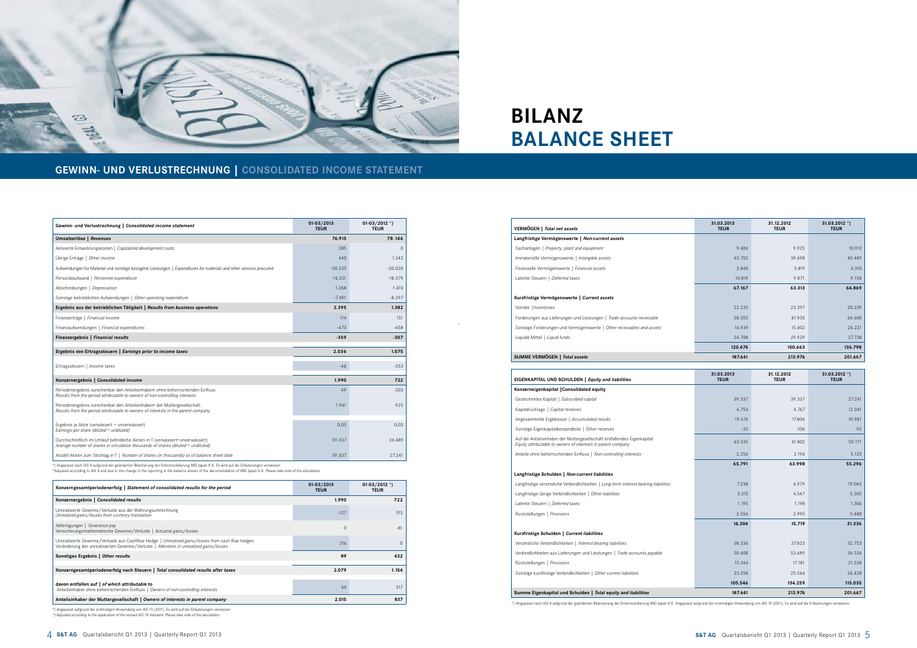4 **S&T AG** Quartalsbericht Q1 2013 | Quarterly Report Q1 2013 **S&T AG** Quartalsbericht Q1 2013 | Quarterly Report Q1 2013 5

| Gewinn- und Verlustrechnung   Consolidated income statement                                                                                                       | $01 - 03 / 2013$<br><b>TEUR</b> | 01-03/2012 *)<br><b>TEUR</b> |
|-------------------------------------------------------------------------------------------------------------------------------------------------------------------|---------------------------------|------------------------------|
| Umsatzerlöse   Revenues                                                                                                                                           | 76.915                          | 78.146                       |
| Aktivierte Entwicklungskosten   Capitalized development costs                                                                                                     | 285                             | $\Omega$                     |
| Übrige Erträge   Other income                                                                                                                                     | 440                             | 1.342                        |
| Aufwendungen für Material und sonstige bezogene Leistungen   Expenditures for materials and other services procured                                               | $-50.235$                       | $-50.020$                    |
| Personalaufwand   Personnel expenditure                                                                                                                           | $-16.251$                       | $-18.379$                    |
| Abschreibungen   Depreciation                                                                                                                                     | $-1.268$                        | $-1.410$                     |
| Sonstige betrieblichen Aufwendungen   Other operating expenditure                                                                                                 | $-7.491$                        | $-8.297$                     |
| Ergebnis aus der betrieblichen Tätigkeit   Results from business operations                                                                                       | 2.395                           | 1.382                        |
| Finanzerträge   Financial income                                                                                                                                  | 114                             | 151                          |
| Finanzaufwendungen   Financial expenditures                                                                                                                       | $-473$                          | $-458$                       |
| Finanzergebnis   Financial results                                                                                                                                | $-359$                          | $-307$                       |
| Ergebnis von Ertragssteuern   Earnings prior to income taxes                                                                                                      | 2.036                           | 1.075                        |
| Ertragssteuern   Income taxes                                                                                                                                     | $-46$                           | $-353$                       |
| Konzernergebnis   Consolidated income                                                                                                                             | 1.990                           | 722                          |
| Periodenergebnis zurechenbar den Anteilsinhabern ohne beherrschenden Einfluss<br>Results from the period attributable to owners of non-controlling interests      | 49                              | $-203$                       |
| Periodenergebnis zurechenbar den Anteilsinhabern der Muttergesellschaft<br>Results from the period attributable to owners of interests in the parent company      | 1.941                           | 925                          |
| Ergebnis je Aktie (verwässert = unverwässert)<br>Earnings per share (diluted = undiluted)                                                                         | 0,05                            | 0,03                         |
| Durchschnittlich im Umlauf befindliche Aktien in T (verwässert=unverwässert)<br>Average number of shares in circulation thousands of shares (diluted = undiluted) | 39.337                          | 26.489                       |
| Anzahl Aktien zum Stichtag in T   Number of shares (in thousands) as of balance sheet date                                                                        | 39.337                          | 27.241                       |

\*) Angepasst nach IAS 8 aufgrund der geänderten Bilanzierung der Entkonsolidierung IMG Japan K.K. Es wird auf die Erläuterungen verwiesen.<br>\*Adjusted according to IAS 8 and due to the change in the reporting in the balance

\*) Angepasst aufgrund der erstmaligen Anwendung von IAS 19 (2011). Es wird auf die Erläuterungen verwiesen. *\*) Adjusted according to the application of the revised IAS 19 standard. Please take note of the elucidation.*

# **GEWINN- UND VERLUSTRECHNUNG | CONSOLIDATED INCOME STATEMENT**



# **BILANZ BALANCE SHEET**

- Kapitalrücklage | Capital reserves
- Angesammelte Ergebnisse | Accumulated results
- Sonstige Eigenkapitalbestandteile | Other reserves
- 
- Anteile ohne beherrschenden Einfluss | *Non-controlling interests* 2.256 2.196 5.125
- 

- Langfristige verzinsliche Verbindlichkeiten | *Long-term interest-bearing liabilities* 7.238 6.979 19.045
- Langfristige übrige Verbindlichkeiten | *Other liabilities* 5.315 4.547 5.505 Latente Steuern | *Deferred taxes*
- 
- Rückstellungen | Provisions

| Konzerngesamtperiodenerfolg   Statement of consolidated results for the period                                                                                                               | $01 - 03 / 2013$<br><b>TEUR</b> | 01-03/2012 *)<br><b>TEUR</b> |
|----------------------------------------------------------------------------------------------------------------------------------------------------------------------------------------------|---------------------------------|------------------------------|
| Konzernergebnis   Consolidated results                                                                                                                                                       | 1.990                           | 722                          |
| Unrealisierte Gewinne/Verluste aus der Währungsumrechnung<br>Unrealized gains/losses from currency translation                                                                               | $-127$                          | 513                          |
| Abfertigungen   Severance pay<br>Versicherungsmathematische Gewinne/Verluste   Actuarial gains/losses                                                                                        | $\Omega$                        | $-81$                        |
| Unrealisierte Gewinne/Verluste aus Cashflow Hedge   Unrealized gains/losses from cash flow hedges<br>Veränderung der unrealisierten Gewinne/Verluste   Alteration in unrealized gains/losses | 216                             |                              |
| Sonstiges Ergebnis   Other results                                                                                                                                                           | 89                              | 432                          |
| Konzerngesamtperiodenerfolg nach Steuern   Total consolidated results after taxes                                                                                                            | 2.079                           | 1.154                        |
| davon entfallen auf   of which attributable to<br>Anteilsinhaber ohne beherrschenden Einfluss   Owners of non-controlling interests                                                          | 64                              | 317                          |
| Anteilsinhaber der Muttergesellschaft   Owners of interests in parent company                                                                                                                | 2.015                           | 837                          |

- 
- Forderungen aus Lieferungen und Leistungen | Trade accounts receivable
- Sonstige Forderungen und Vermögenswerte | Other receivables and assets

#### Vorräte | Inventories

| VERMÖGEN   <i>Total net assets</i>                                     | 31.03.2013<br><b>TEUR</b> | 31.12.2012<br><b>TEUR</b> | $31.03.2012$ *)<br><b>TEUR</b> |
|------------------------------------------------------------------------|---------------------------|---------------------------|--------------------------------|
| Langfristige Vermögenswerte   Non-current assets                       |                           |                           |                                |
| Sachanlagen   Property, plant and equipment                            | 9.606                     | 9.925                     | 10.912                         |
| Immaterielle Vermögenswerte   Intangible assets                        | 43.702                    | 39.698                    | 40.489                         |
| Finanzielle Vermögenswerte   Financial assets                          | 3.840                     | 3.819                     | 4.310                          |
| Latente Steuern   Deferred taxes                                       | 10.019                    | 9.871                     | 9.158                          |
|                                                                        | 67.167                    | 63.313                    | 64.869                         |
| Kurzfristige Vermögenswerte   Current assets                           |                           |                           |                                |
| Vorräte   Inventories                                                  | 22.235                    | 23.397                    | 20.239                         |
| Forderungen aus Lieferungen und Leistungen   Trade accounts receivable | 58.592                    | 81.935                    | 64.600                         |
| Sonstige Forderungen und Vermögenswerte   Other receivables and assets | 14.939                    | 15,402                    | 24.221                         |
| Liquide Mittel   Liquid funds                                          | 24,708                    | 29.929                    | 27.738                         |
|                                                                        | 120.474                   | 150.663                   | 136.798                        |
| SUMME VERMÖGEN   Total assets                                          | 187.641                   | 213.976                   | 201.667                        |

| Kurzfristige Vermögenswerte   Current assets    |
|-------------------------------------------------|
| Latente Steuern   Deferred taxes                |
| Finanzielle Vermögenswerte   Financial assets   |
| Immaterielle Vermögenswerte   Intangible assets |
| Sachanlagen   Property, plant and equipment     |

#### **SUMME VERMÖGEN |** *Total assets* **187.641 213.976 201.667**

#### **EIGENKAPITAL UND SCHULDEN |** *Equity and liabilities*

#### **Langfristige Schulden |** *Non-current liabilities*

| EIGENKAPITAL UND SCHULDEN   Equity and liabilities                                                                                      | 31.03.2013<br><b>TEUR</b> | 31.12.2012<br><b>TEUR</b> | 31.03.2012 *)<br><b>TEUR</b> |
|-----------------------------------------------------------------------------------------------------------------------------------------|---------------------------|---------------------------|------------------------------|
| Konzerneigenkapital   Consolidated equity                                                                                               |                           |                           |                              |
| Gezeichnetes Kapital   Subscribed capital                                                                                               | 39.337                    | 39.337                    | 27.241                       |
| Kapitalrücklage   Capital reserves                                                                                                      | 4.754                     | 4.767                     | 12.041                       |
| Angesammelte Ergebnisse   Accumulated results                                                                                           | 19.476                    | 17.804                    | 10.981                       |
| Sonstige Eigenkapitalbestandteile   Other reserves                                                                                      | $-32$                     | $-106$                    | $-92$                        |
| Auf die Anteilsinhaber der Muttergesellschaft entfallendes Eigenkapital<br>Equity attributable to owners of interests in parent company | 63.535                    | 61.802                    | 50.171                       |
| Anteile ohne beherrschenden Einfluss   Non-controlling interests                                                                        | 2.256                     | 2.196                     | 5.125                        |
|                                                                                                                                         | 65.791                    | 63.998                    | 55.296                       |
| Langfristige Schulden   Non-current liabilities                                                                                         |                           |                           |                              |
| Langfristige verzinsliche Verbindlichkeiten   Long-term interest-bearing liabilities                                                    | 7.238                     | 6.979                     | 19.045                       |
| Langfristige übrige Verbindlichkeiten   Other liabilities                                                                               | 5.315                     | 4.547                     | 5.505                        |
| Latente Steuern   Deferred taxes                                                                                                        | 1.195                     | 1.198                     | 1.306                        |
| Rückstellungen   Provisions                                                                                                             | 2.556                     | 2.995                     | 5.480                        |
|                                                                                                                                         | 16.304                    | 15.719                    | 31.336                       |
| Kurzfristige Schulden   Current liabilities                                                                                             |                           |                           |                              |
| Verzinsliche Verbindlichkeiten   Interest-bearing liabilities                                                                           | 38.336                    | 37,823                    | 32.753                       |
| Verbindlichkeiten aus Lieferungen und Leistungen   Trade accounts payable                                                               | 30.608                    | 53.689                    | 34.526                       |
| Rückstellungen   Provisions                                                                                                             | 13.344                    | 17.181                    | 21.328                       |
| Sonstige kurzfristige Verbindlichkeiten   Other current liabilities                                                                     | 23.258                    | 25.566                    | 26.428                       |
|                                                                                                                                         | 105.546                   | 134.259                   | 115.035                      |
| Summe Eigenkapital und Schulden   Total equity and liabilities                                                                          | 187.641                   | 213.976                   | 201.667                      |

#### **Kurzfristige Schulden |** *Current liabilities*

- Verbindlichkeiten aus Lieferungen und Leistungen | *Trade accounts payable*
- Rückstellungen | Provisions
- Sonstige kurzfristige Verbindlichkeiten | Other current liabilities

### **Summe Eigenkapital und Schulden |** *Total equity and liabilities* **187.641 213.976 201.667**

\*) Angepasst nach IAS 8 aufgrund der geänderten Bilanzierung der Entkonsolidierung IMG Japan K.K. Angepasst aufgrund der erstmaligen Anwendung von IAS 19 (2011). Es wird auf die Erläuterungen verwiesen.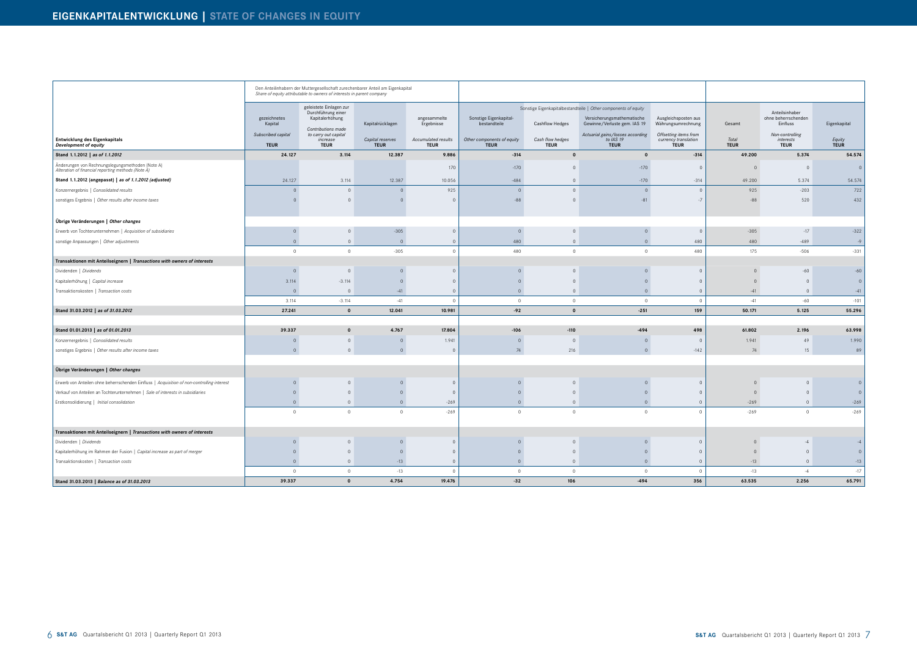|                                                                                                        |                                   | Den Anteilinhabern der Muttergesellschaft zurechenbarer Anteil am Eigenkapital<br>Share of equity attributable to owners of interests in parent company |                                 |                                    |                                           |                                 |                                                                |                                                              |                      |                                                   |                |
|--------------------------------------------------------------------------------------------------------|-----------------------------------|---------------------------------------------------------------------------------------------------------------------------------------------------------|---------------------------------|------------------------------------|-------------------------------------------|---------------------------------|----------------------------------------------------------------|--------------------------------------------------------------|----------------------|---------------------------------------------------|----------------|
|                                                                                                        |                                   | geleistete Einlagen zur                                                                                                                                 |                                 |                                    |                                           |                                 | Sonstige Eigenkapitalbestandteile   Other components of equity |                                                              |                      |                                                   |                |
|                                                                                                        | gezeichnetes<br>Kapital           | Durchführung einer<br>Kapitalerhöhung                                                                                                                   | Kapitalrücklagen                | angesammelte<br>Ergebnisse         | Sonstige Eigenkapital-<br>bestandteile    | <b>Cashflow Hedges</b>          | Versicherungsmathematische<br>Gewinne/Verluste gem. IAS 19     | Ausgleichsposten aus<br>Währungsumrechnung                   | Gesamt               | Anteilsinhaber<br>ohne beherrschenden<br>Einfluss | Eigenkapital   |
| Entwicklung des Eigenkapitals<br><b>Development of equity</b>                                          | Subscribed capital<br><b>TEUR</b> | Contributions made<br>to carry out capital<br>increase<br><b>TEUR</b>                                                                                   | Capital reserves<br><b>TEUR</b> | Accumulated results<br><b>TEUR</b> | Other components of equity<br><b>TEUR</b> | Cash flow hedges<br><b>TEUR</b> | Actuarial gains/losses according<br>to IAS 19<br><b>TEUR</b>   | Offsetting items from<br>currency translation<br><b>TEUR</b> | Total<br><b>TEUR</b> | Non-controlling<br>interests<br><b>TEUR</b>       | Equity<br>TEUR |
| Stand 1.1.2012   as of 1.1.2012                                                                        | 24.127                            | 3.114                                                                                                                                                   | 12.387                          | 9.886                              | $-314$                                    | $\mathbf{0}$                    | $\mathbf 0$                                                    | $-314$                                                       | 49.200               | 5.374                                             | 54.574         |
| Änderungen von Rechnungslegungsmethoden (Note A)<br>Alteration of financial reporting methods (Note A) |                                   |                                                                                                                                                         |                                 | 170                                | $-170$                                    | $\Omega$                        | $-170$                                                         | $\cap$                                                       | $\cap$               | $\overline{0}$                                    | $\circ$        |
| Stand 1.1.2012 (angepasst)   as of 1.1.2012 (adjusted)                                                 | 24.127                            | 3.114                                                                                                                                                   | 12.387                          | 10.056                             | $-484$                                    | $\circ$                         | $-170$                                                         | $-314$                                                       | 49.200               | 5.374                                             | 54.574         |
| Konzernergebnis   Consolidated results                                                                 | $\Omega$                          | $\Omega$                                                                                                                                                | $\overline{0}$                  | 925                                | $\Omega$                                  | $\circ$                         | $\overline{0}$                                                 | $\Omega$                                                     | 925                  | $-203$                                            | 722            |
| sonstiges Ergebnis   Other results after income taxes                                                  |                                   |                                                                                                                                                         | $\Omega$                        | $\Omega$                           | $-88$                                     | $\Omega$                        | $-81$                                                          | $-7$                                                         | $-88$                | 520                                               | 432            |
| Übrige Veränderungen   Other changes                                                                   |                                   |                                                                                                                                                         |                                 |                                    |                                           |                                 |                                                                |                                                              |                      |                                                   |                |
| Erwerb von Tochterunternehmen   Acquisition of subsidiaries                                            | $\Omega$                          | $\Omega$                                                                                                                                                | $-305$                          | $\overline{0}$                     | $\overline{0}$                            | $\Omega$                        | $\mathbf{0}$                                                   | $\Omega$                                                     | $-305$               | $-17$                                             | $-322$         |
| sonstige Anpassungen   Other adjustments                                                               | $\overline{0}$                    | $\circ$                                                                                                                                                 | $\overline{0}$                  | $\circ$                            | 480                                       | $\overline{0}$                  | $\overline{0}$                                                 | 480                                                          | 480                  | $-489$                                            | $-9$           |
|                                                                                                        | $\overline{0}$                    | $\overline{0}$                                                                                                                                          | $-305$                          | $\Omega$                           | 480                                       | $\circ$                         | $\mathbf{0}$                                                   | 480                                                          | 175                  | $-506$                                            | $-331$         |
| Transaktionen mit Anteilseignern   Transactions with owners of interests                               |                                   |                                                                                                                                                         |                                 |                                    |                                           |                                 |                                                                |                                                              |                      |                                                   |                |
| Dividenden   Dividends                                                                                 | $\Omega$                          | $\Omega$                                                                                                                                                | $\mathbf{0}$                    | $\Omega$                           | $\Omega$                                  | $\Omega$                        | $\Omega$                                                       | $\Omega$                                                     |                      | $-60$                                             | $-60$          |
| Kapitalerhöhung   Capital increase                                                                     | 3.114                             | $-3.114$                                                                                                                                                | $\mathbf{0}$                    | $\overline{0}$                     |                                           | $\Omega$                        | $\Omega$                                                       | $\Omega$                                                     |                      | $\overline{0}$                                    | $\circ$        |
| Transaktionskosten   Transaction costs                                                                 | $\overline{0}$                    | $\overline{0}$                                                                                                                                          | $-41$                           | $\circ$                            | $\Omega$                                  | $\overline{0}$                  | $\overline{0}$                                                 | $\overline{0}$                                               | $-41$                | $\overline{0}$                                    | $-41$          |
|                                                                                                        | 3.114                             | $-3.114$                                                                                                                                                | $-41$                           | $\overline{0}$                     | $\overline{0}$                            | $\overline{0}$                  | $\overline{0}$                                                 | $\overline{0}$                                               | $-41$                | $-60$                                             | $-101$         |
| Stand 31.03.2012   as of 31.03.2012                                                                    | 27.241                            | $\mathbf{0}$                                                                                                                                            | 12.041                          | 10.981                             | $-92$                                     | $\mathbf{0}$                    | $-251$                                                         | 159                                                          | 50.171               | 5.125                                             | 55.296         |
|                                                                                                        |                                   |                                                                                                                                                         |                                 |                                    |                                           |                                 |                                                                |                                                              |                      |                                                   |                |
| Stand 01.01.2013   as of 01.01.2013                                                                    | 39.337                            | $\mathbf{0}$                                                                                                                                            | 4.767                           | 17.804                             | $-106$                                    | $-110$                          | $-494$                                                         | 498                                                          | 61.802               | 2.196                                             | 63.998         |
| Konzernergebnis   Consolidated results                                                                 | $\Omega$                          | $\Omega$                                                                                                                                                | $\mathbf 0$                     | 1.941                              | $\Omega$                                  |                                 | $\overline{0}$                                                 | - 0                                                          | 1.941                | 49                                                | 1.990          |
| sonstiges Ergebnis   Other results after income taxes                                                  | $\circ$                           | $\Omega$                                                                                                                                                | $\circ$                         | $\overline{0}$                     | 74                                        | 216                             | $\overline{0}$                                                 | $-142$                                                       | 74                   | 15                                                | 89             |
| Übrige Veränderungen   Other changes                                                                   |                                   |                                                                                                                                                         |                                 |                                    |                                           |                                 |                                                                |                                                              |                      |                                                   |                |
| Erwerb von Anteilen ohne beherrschenden Einfluss   Acquisition of non-controlling interest             |                                   | $\Omega$                                                                                                                                                | $\mathbf{0}$                    | $\overline{0}$                     |                                           | $\Omega$                        | $\overline{0}$                                                 | $\sqrt{ }$                                                   | $\Omega$             | $\overline{0}$                                    | $\mathbf{0}$   |
| Verkauf von Anteilen an Tochterunternehmen   Sale of interests in subsidiaries                         |                                   | $\Omega$                                                                                                                                                | $\mathbf{0}$                    | $\Omega$                           |                                           | $\Omega$                        | $\Omega$                                                       | $\Omega$                                                     | $\Omega$             | $\overline{0}$                                    | $\mathbf{0}$   |
| Erstkonsolidierung   Initial consolidation                                                             | $\overline{0}$                    | $\overline{0}$                                                                                                                                          | $\circ$                         | $-269$                             | $\overline{0}$                            | $\overline{0}$                  | $\overline{0}$                                                 | $\overline{0}$                                               | $-269$               | $\overline{0}$                                    | $-269$         |
|                                                                                                        | $\Omega$                          | $\Omega$                                                                                                                                                | $\Omega$                        | $-269$                             |                                           | $\circ$                         | $\Omega$                                                       | $\Omega$                                                     | $-269$               | $\circ$                                           | $-269$         |
| Transaktionen mit Anteilseignern   Transactions with owners of interests                               |                                   |                                                                                                                                                         |                                 |                                    |                                           |                                 |                                                                |                                                              |                      |                                                   |                |
| Dividenden   Dividends                                                                                 | $\Omega$                          | $\overline{0}$                                                                                                                                          | $\circ$                         | $\Omega$                           | $\overline{0}$                            | $\overline{0}$                  | $\mathbf{0}$                                                   | $\Omega$                                                     | $\overline{0}$       | $-4$                                              | $-4$           |
| Kapitalerhöhung im Rahmen der Fusion   Capital increase as part of merger                              |                                   | $\overline{0}$                                                                                                                                          | $\mathbf{0}$                    | $\mathbf{0}$                       |                                           | $\overline{0}$                  | $\mathbf{0}$                                                   | $\overline{0}$                                               | $\overline{0}$       | $\overline{0}$                                    | $\circ$        |
| Transaktionskosten   Transaction costs                                                                 | $\overline{0}$                    | $\overline{0}$                                                                                                                                          | $-13$                           | $\overline{0}$                     | $\circ$                                   | $\overline{0}$                  | $\overline{0}$                                                 | $\overline{0}$                                               | $-13$                | $\circ$                                           | $-13$          |
|                                                                                                        | $\overline{0}$                    | $\overline{0}$                                                                                                                                          | $-13$                           | $\circ$                            | $\circ$                                   | $\circ$                         | $\overline{0}$                                                 | $\overline{0}$                                               | $-13$                | $-4$                                              | $-17$          |
| Stand 31.03.2013   Balance as of 31.03.2013                                                            | 39.337                            | $\mathbf{0}$                                                                                                                                            | 4.754                           | 19.476                             | $-32$                                     | 106                             | -494                                                           | 356                                                          | 63.535               | 2.256                                             | 65.791         |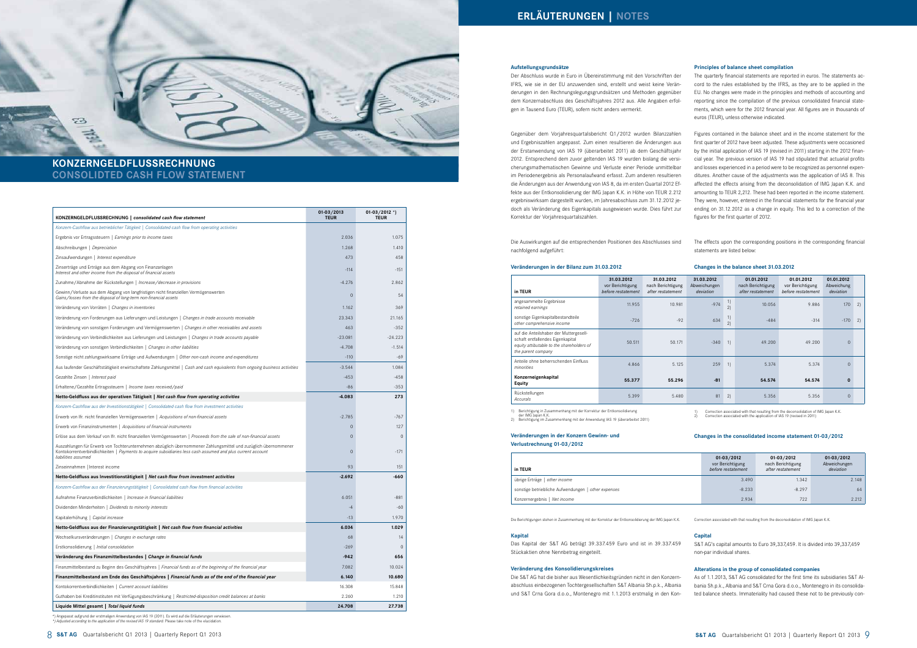#### **Aufstellungsgrundsätze**

Der Abschluss wurde in Euro in Übereinstimmung mit den Vorschriften der IFRS, wie sie in der EU anzuwenden sind, erstellt und weist keine Veränderungen in den Rechnungslegungsgrundsätzen und Methoden gegenüber dem Konzernabschluss des Geschäftsjahres 2012 aus. Alle Angaben erfolgen in Tausend Euro (TEUR), sofern nicht anders vermerkt.

Gegenüber dem Vorjahresquartalsbericht Q1/2012 wurden Bilanzzahlen und Ergebniszahlen angepasst. Zum einen resultieren die Änderungen aus der Erstanwendung von IAS 19 (überarbeitet 2011) ab dem Geschäftsjahr 2012. Entsprechend dem zuvor geltenden IAS 19 wurden bislang die versicherungsmathematischen Gewinne und Verluste einer Periode unmittelbar im Periodenergebnis als Personalaufwand erfasst. Zum anderen resultieren die Änderungen aus der Anwendung von IAS 8, da im ersten Quartal 2012 Effekte aus der Entkonsolidierung der IMG Japan K.K. in Höhe von TEUR 2.212 ergebniswirksam dargestellt wurden, im Jahresabschluss zum 31.12.2012 jedoch als Veränderung des Eigenkapitals ausgewiesen wurde. Dies führt zur Korrektur der Vorjahresquartalszahlen.

Die Auswirkungen auf die entsprechenden Positionen des Abschlusses sind nachfolgend aufgeführt:

#### **Veränderungen in der Bilanz zum 31.03.2012**

**Veränderungen in der Konzern Gewinn- und Verlustrechnung 01-03/2012**

Die Berichtigungen stehen in Zusammenhang mit der Korrektur der Entkonsolidierung der IMG Japan K.K.

#### **Kapital**

Das Kapital der S&T AG beträgt 39.337.459 Euro und ist in 39.337.459 Stückaktien ohne Nennbetrag eingeteilt.

#### **Veränderung des Konsolidierungskreises**

Die S&T AG hat die bisher aus Wesentlichkeitsgründen nicht in den Konzernabschluss einbezogenen Tochtergesellschaften S&T Albania Sh.p.k., Albania und S&T Crna Gora d.o.o., Montenegro mit 1.1.2013 erstmalig in den Kon-

#### **Principles of balance sheet compilation**

The quarterly financial statements are reported in euros. The statements accord to the rules established by the IFRS, as they are to be applied in the EU. No changes were made in the principles and methods of accounting and reporting since the compilation of the previous consolidated financial statements, which were for the 2012 financial year. All figures are in thousands of euros (TEUR), unless otherwise indicated.

Figures contained in the balance sheet and in the income statement for the first quarter of 2012 have been adjusted. These adjustments were occasioned by the initial application of IAS 19 (revised in 2011) starting in the 2012 financial year. The previous version of IAS 19 had stipulated that actuarial profits and losses experienced in a period were to be recognized as personnel expenditures. Another cause of the adjustments was the application of IAS 8. This affected the effects arising from the deconsolidation of IMG Japan K.K. and amounting to TEUR 2,212. These had been reported in the income statement. They were, however, entered in the financial statements for the financial year ending on 31.12.2012 as a change in equity. This led to a correction of the figures for the first quarter of 2012.

The effects upon the corresponding positions in the corresponding financial statements are listed below:

#### **Changes in the balance sheet 31.03.2012**

1) Correction associated with that resulting from the deconsolidation of IMG Japan K.K. 2) Correction associated with the application of IAS 19 (revised in 2011)

#### **Changes in the consolidated income statement 01-03/2012**

Correction associated with that resulting from the deconsolidation of IMG Japan K.K.

#### **Capital**

S&T AG's capital amounts to Euro 39,337,459. It is divided into 39,337,459 non-par individual shares.

### **Alterations in the group of consolidated companies**

As of 1.1.2013, S&T AG consolidated for the first time its subsidiaries S&T Albania Sh.p.k., Albania and S&T Crna Gora d.o.o., Montenegro in its consolidated balance sheets. Immateriality had caused these not to be previously con-

## **KONZERNGELDFLUSSRECHNUNG CONSOLIDTED CASH FLOW STATEMENT**

73

| Konzern-Cashflow aus betrieblicher Tätigkeit   Consolidated cash flow from operating activities<br>2.036<br>1.075<br>Ergebnis vor Ertragssteuern   Earnings prior to income taxes<br>Abschreibungen   Depreciation<br>1.268<br>1.410<br>473<br>458<br>Zinsaufwendungen   Interest expenditure<br>Zinserträge und Erträge aus dem Abgang von Finanzanlagen<br>$-151$<br>$-114$<br>Interest and other income from the disposal of financial assets<br>$-4.276$<br>2.862<br>Zunahme/Abnahme der Rückstellungen   Increase/decrease in provisions<br>Gewinn/Verluste aus dem Abgang von langfristigen nicht finanziellen Vermögenswerten<br>$\mathbf 0$<br>54<br>Gains/losses from the disposal of long-term non-financial assets<br>1.162<br>369<br>Veränderung von Vorräten   Changes in inventories<br>21.165<br>Veränderung von Forderungen aus Lieferungen und Leistungen   <i>Changes in trade accounts receivable</i><br>23.343<br>463<br>$-352$<br>Veränderung von sonstigen Forderungen und Vermögenswerten   <i>Changes in other receivables and assets</i><br>Veränderung von Verbindlichkeiten aus Lieferungen und Leistungen   Changes in trade accounts payable<br>$-23.081$<br>$-24.223$<br>Veränderung von sonstigen Verbindlichkeiten   Changes in other liabilities<br>$-4.708$<br>$-1.514$<br>Sonstige nicht zahlungswirksame Erträge und Aufwendungen   Other non-cash income and expenditures<br>$-110$<br>$-69$<br>Aus laufender Geschäftstätigkeit erwirtschaftete Zahlungsmittel   Cash and cash equivalents from ongoing business activities<br>$-3.544$<br>1.084<br>Gezahlte Zinsen   Interest paid<br>$-453$<br>$-458$<br>Erhaltene/Gezahlte Ertragssteuern   Income taxes received/paid<br>$-86$<br>$-353$<br>$-4.083$<br>273<br>Netto-Geldfluss aus der operativen Tätigkeit   <i>Net cash flow from operating activities</i><br>Konzern-Cashflow aus der Investitionstätigkeit   Consolidated cash flow from investment activities<br>$-2.785$<br>$-767$<br>Erwerb von Ifr. nicht finanziellen Vermögenswerten   Acquisitions of non-financial assets<br>Erwerb von Finanzinstrumenten   Acquisitions of financial instruments<br>$\mathbf 0$<br>127<br>Erlöse aus dem Verkauf von Ifr. nicht finanziellen Vermögenswerten   Proceeds from the sale of non-financial assets<br>$\Omega$<br>$\mathbf{0}$<br>Auszahlungen für Erwerb von Tochterunternehmen abzüglich übernommener Zahlungsmittel und zuzüglich übernommener<br>Kontokorrentverbindlichkeiten   Payments to acquire subsidiaries less cash assumed and plus current account<br>$\mathbf 0$<br>$-171$<br>liabilities assumed<br>93<br>Zinseinnahmen   Interest income<br>151<br>$-2.692$<br>Netto-Geldfluss aus Investitionstätigkeit   Net cash flow from investment activities<br>-660<br>Konzern-Cashflow aus der Finanzierungstätigkeit   Consolidated cash flow from financial activities<br>Aufnahme Finanzverbindlichkeiten   Increase in financial liabilities<br>6.051<br>-881<br>Dividenden Minderheiten   Dividends to minority interests<br>$-4$<br>-60<br>1.970<br>Kapitalerhöhung   Capital increase<br>$-13$<br>6.034<br>1.029<br>Netto-Geldfluss aus der Finanzierungstätigkeit   Ne <i>t cash flow from financial activities</i><br>Wechselkursveränderungen   Changes in exchange rates<br>68<br>14<br>$\overline{0}$<br>$-269$<br>Erstkonsolidierung   Initial consolidation<br>Veränderung des Finanzmittelbestandes   Change in financial funds<br>$-942$<br>656<br>10.024<br>Finanzmittelbestand zu Beginn des Geschäftsjahres   Financial funds as of the beginning of the financial year<br>7.082<br>10.680<br>6.140<br>Finanzmittelbestand am Ende des Geschäftsjahres   Financial funds as of the end of the financial year<br>15.848<br>Kontokorrentverbindlichkeiten   Current account liabilities<br>16.308<br>2.260<br>Guthaben bei Kreditinstituten mit Verfügungsbeschränkung   Restricted-disposition credit balances at banks<br>1.210<br>Liquide Mittel gesamt   Total liquid funds<br>24.708<br>27.738 | KONZERNGELDFLUSSRECHNUNG   consolidated cash flow statement | $01 - 03 / 2013$<br><b>TEUR</b> | $01-03/2012$ *)<br><b>TEUR</b> |
|-----------------------------------------------------------------------------------------------------------------------------------------------------------------------------------------------------------------------------------------------------------------------------------------------------------------------------------------------------------------------------------------------------------------------------------------------------------------------------------------------------------------------------------------------------------------------------------------------------------------------------------------------------------------------------------------------------------------------------------------------------------------------------------------------------------------------------------------------------------------------------------------------------------------------------------------------------------------------------------------------------------------------------------------------------------------------------------------------------------------------------------------------------------------------------------------------------------------------------------------------------------------------------------------------------------------------------------------------------------------------------------------------------------------------------------------------------------------------------------------------------------------------------------------------------------------------------------------------------------------------------------------------------------------------------------------------------------------------------------------------------------------------------------------------------------------------------------------------------------------------------------------------------------------------------------------------------------------------------------------------------------------------------------------------------------------------------------------------------------------------------------------------------------------------------------------------------------------------------------------------------------------------------------------------------------------------------------------------------------------------------------------------------------------------------------------------------------------------------------------------------------------------------------------------------------------------------------------------------------------------------------------------------------------------------------------------------------------------------------------------------------------------------------------------------------------------------------------------------------------------------------------------------------------------------------------------------------------------------------------------------------------------------------------------------------------------------------------------------------------------------------------------------------------------------------------------------------------------------------------------------------------------------------------------------------------------------------------------------------------------------------------------------------------------------------------------------------------------------------------------------------------------------------------------------------------------------------------------------------------------------------------------------------------------------------------------------------------------------------------------------------------------------------------------------------------------------------------------------------------------------------------------------------------------------------------------------------------------------------------------------------------------------------|-------------------------------------------------------------|---------------------------------|--------------------------------|
|                                                                                                                                                                                                                                                                                                                                                                                                                                                                                                                                                                                                                                                                                                                                                                                                                                                                                                                                                                                                                                                                                                                                                                                                                                                                                                                                                                                                                                                                                                                                                                                                                                                                                                                                                                                                                                                                                                                                                                                                                                                                                                                                                                                                                                                                                                                                                                                                                                                                                                                                                                                                                                                                                                                                                                                                                                                                                                                                                                                                                                                                                                                                                                                                                                                                                                                                                                                                                                                                                                                                                                                                                                                                                                                                                                                                                                                                                                                                                                                                                                   |                                                             |                                 |                                |
|                                                                                                                                                                                                                                                                                                                                                                                                                                                                                                                                                                                                                                                                                                                                                                                                                                                                                                                                                                                                                                                                                                                                                                                                                                                                                                                                                                                                                                                                                                                                                                                                                                                                                                                                                                                                                                                                                                                                                                                                                                                                                                                                                                                                                                                                                                                                                                                                                                                                                                                                                                                                                                                                                                                                                                                                                                                                                                                                                                                                                                                                                                                                                                                                                                                                                                                                                                                                                                                                                                                                                                                                                                                                                                                                                                                                                                                                                                                                                                                                                                   |                                                             |                                 |                                |
|                                                                                                                                                                                                                                                                                                                                                                                                                                                                                                                                                                                                                                                                                                                                                                                                                                                                                                                                                                                                                                                                                                                                                                                                                                                                                                                                                                                                                                                                                                                                                                                                                                                                                                                                                                                                                                                                                                                                                                                                                                                                                                                                                                                                                                                                                                                                                                                                                                                                                                                                                                                                                                                                                                                                                                                                                                                                                                                                                                                                                                                                                                                                                                                                                                                                                                                                                                                                                                                                                                                                                                                                                                                                                                                                                                                                                                                                                                                                                                                                                                   |                                                             |                                 |                                |
|                                                                                                                                                                                                                                                                                                                                                                                                                                                                                                                                                                                                                                                                                                                                                                                                                                                                                                                                                                                                                                                                                                                                                                                                                                                                                                                                                                                                                                                                                                                                                                                                                                                                                                                                                                                                                                                                                                                                                                                                                                                                                                                                                                                                                                                                                                                                                                                                                                                                                                                                                                                                                                                                                                                                                                                                                                                                                                                                                                                                                                                                                                                                                                                                                                                                                                                                                                                                                                                                                                                                                                                                                                                                                                                                                                                                                                                                                                                                                                                                                                   |                                                             |                                 |                                |
|                                                                                                                                                                                                                                                                                                                                                                                                                                                                                                                                                                                                                                                                                                                                                                                                                                                                                                                                                                                                                                                                                                                                                                                                                                                                                                                                                                                                                                                                                                                                                                                                                                                                                                                                                                                                                                                                                                                                                                                                                                                                                                                                                                                                                                                                                                                                                                                                                                                                                                                                                                                                                                                                                                                                                                                                                                                                                                                                                                                                                                                                                                                                                                                                                                                                                                                                                                                                                                                                                                                                                                                                                                                                                                                                                                                                                                                                                                                                                                                                                                   |                                                             |                                 |                                |
|                                                                                                                                                                                                                                                                                                                                                                                                                                                                                                                                                                                                                                                                                                                                                                                                                                                                                                                                                                                                                                                                                                                                                                                                                                                                                                                                                                                                                                                                                                                                                                                                                                                                                                                                                                                                                                                                                                                                                                                                                                                                                                                                                                                                                                                                                                                                                                                                                                                                                                                                                                                                                                                                                                                                                                                                                                                                                                                                                                                                                                                                                                                                                                                                                                                                                                                                                                                                                                                                                                                                                                                                                                                                                                                                                                                                                                                                                                                                                                                                                                   |                                                             |                                 |                                |
|                                                                                                                                                                                                                                                                                                                                                                                                                                                                                                                                                                                                                                                                                                                                                                                                                                                                                                                                                                                                                                                                                                                                                                                                                                                                                                                                                                                                                                                                                                                                                                                                                                                                                                                                                                                                                                                                                                                                                                                                                                                                                                                                                                                                                                                                                                                                                                                                                                                                                                                                                                                                                                                                                                                                                                                                                                                                                                                                                                                                                                                                                                                                                                                                                                                                                                                                                                                                                                                                                                                                                                                                                                                                                                                                                                                                                                                                                                                                                                                                                                   |                                                             |                                 |                                |
|                                                                                                                                                                                                                                                                                                                                                                                                                                                                                                                                                                                                                                                                                                                                                                                                                                                                                                                                                                                                                                                                                                                                                                                                                                                                                                                                                                                                                                                                                                                                                                                                                                                                                                                                                                                                                                                                                                                                                                                                                                                                                                                                                                                                                                                                                                                                                                                                                                                                                                                                                                                                                                                                                                                                                                                                                                                                                                                                                                                                                                                                                                                                                                                                                                                                                                                                                                                                                                                                                                                                                                                                                                                                                                                                                                                                                                                                                                                                                                                                                                   |                                                             |                                 |                                |
|                                                                                                                                                                                                                                                                                                                                                                                                                                                                                                                                                                                                                                                                                                                                                                                                                                                                                                                                                                                                                                                                                                                                                                                                                                                                                                                                                                                                                                                                                                                                                                                                                                                                                                                                                                                                                                                                                                                                                                                                                                                                                                                                                                                                                                                                                                                                                                                                                                                                                                                                                                                                                                                                                                                                                                                                                                                                                                                                                                                                                                                                                                                                                                                                                                                                                                                                                                                                                                                                                                                                                                                                                                                                                                                                                                                                                                                                                                                                                                                                                                   |                                                             |                                 |                                |
|                                                                                                                                                                                                                                                                                                                                                                                                                                                                                                                                                                                                                                                                                                                                                                                                                                                                                                                                                                                                                                                                                                                                                                                                                                                                                                                                                                                                                                                                                                                                                                                                                                                                                                                                                                                                                                                                                                                                                                                                                                                                                                                                                                                                                                                                                                                                                                                                                                                                                                                                                                                                                                                                                                                                                                                                                                                                                                                                                                                                                                                                                                                                                                                                                                                                                                                                                                                                                                                                                                                                                                                                                                                                                                                                                                                                                                                                                                                                                                                                                                   |                                                             |                                 |                                |
|                                                                                                                                                                                                                                                                                                                                                                                                                                                                                                                                                                                                                                                                                                                                                                                                                                                                                                                                                                                                                                                                                                                                                                                                                                                                                                                                                                                                                                                                                                                                                                                                                                                                                                                                                                                                                                                                                                                                                                                                                                                                                                                                                                                                                                                                                                                                                                                                                                                                                                                                                                                                                                                                                                                                                                                                                                                                                                                                                                                                                                                                                                                                                                                                                                                                                                                                                                                                                                                                                                                                                                                                                                                                                                                                                                                                                                                                                                                                                                                                                                   |                                                             |                                 |                                |
|                                                                                                                                                                                                                                                                                                                                                                                                                                                                                                                                                                                                                                                                                                                                                                                                                                                                                                                                                                                                                                                                                                                                                                                                                                                                                                                                                                                                                                                                                                                                                                                                                                                                                                                                                                                                                                                                                                                                                                                                                                                                                                                                                                                                                                                                                                                                                                                                                                                                                                                                                                                                                                                                                                                                                                                                                                                                                                                                                                                                                                                                                                                                                                                                                                                                                                                                                                                                                                                                                                                                                                                                                                                                                                                                                                                                                                                                                                                                                                                                                                   |                                                             |                                 |                                |
|                                                                                                                                                                                                                                                                                                                                                                                                                                                                                                                                                                                                                                                                                                                                                                                                                                                                                                                                                                                                                                                                                                                                                                                                                                                                                                                                                                                                                                                                                                                                                                                                                                                                                                                                                                                                                                                                                                                                                                                                                                                                                                                                                                                                                                                                                                                                                                                                                                                                                                                                                                                                                                                                                                                                                                                                                                                                                                                                                                                                                                                                                                                                                                                                                                                                                                                                                                                                                                                                                                                                                                                                                                                                                                                                                                                                                                                                                                                                                                                                                                   |                                                             |                                 |                                |
|                                                                                                                                                                                                                                                                                                                                                                                                                                                                                                                                                                                                                                                                                                                                                                                                                                                                                                                                                                                                                                                                                                                                                                                                                                                                                                                                                                                                                                                                                                                                                                                                                                                                                                                                                                                                                                                                                                                                                                                                                                                                                                                                                                                                                                                                                                                                                                                                                                                                                                                                                                                                                                                                                                                                                                                                                                                                                                                                                                                                                                                                                                                                                                                                                                                                                                                                                                                                                                                                                                                                                                                                                                                                                                                                                                                                                                                                                                                                                                                                                                   |                                                             |                                 |                                |
|                                                                                                                                                                                                                                                                                                                                                                                                                                                                                                                                                                                                                                                                                                                                                                                                                                                                                                                                                                                                                                                                                                                                                                                                                                                                                                                                                                                                                                                                                                                                                                                                                                                                                                                                                                                                                                                                                                                                                                                                                                                                                                                                                                                                                                                                                                                                                                                                                                                                                                                                                                                                                                                                                                                                                                                                                                                                                                                                                                                                                                                                                                                                                                                                                                                                                                                                                                                                                                                                                                                                                                                                                                                                                                                                                                                                                                                                                                                                                                                                                                   |                                                             |                                 |                                |
|                                                                                                                                                                                                                                                                                                                                                                                                                                                                                                                                                                                                                                                                                                                                                                                                                                                                                                                                                                                                                                                                                                                                                                                                                                                                                                                                                                                                                                                                                                                                                                                                                                                                                                                                                                                                                                                                                                                                                                                                                                                                                                                                                                                                                                                                                                                                                                                                                                                                                                                                                                                                                                                                                                                                                                                                                                                                                                                                                                                                                                                                                                                                                                                                                                                                                                                                                                                                                                                                                                                                                                                                                                                                                                                                                                                                                                                                                                                                                                                                                                   |                                                             |                                 |                                |
|                                                                                                                                                                                                                                                                                                                                                                                                                                                                                                                                                                                                                                                                                                                                                                                                                                                                                                                                                                                                                                                                                                                                                                                                                                                                                                                                                                                                                                                                                                                                                                                                                                                                                                                                                                                                                                                                                                                                                                                                                                                                                                                                                                                                                                                                                                                                                                                                                                                                                                                                                                                                                                                                                                                                                                                                                                                                                                                                                                                                                                                                                                                                                                                                                                                                                                                                                                                                                                                                                                                                                                                                                                                                                                                                                                                                                                                                                                                                                                                                                                   |                                                             |                                 |                                |
|                                                                                                                                                                                                                                                                                                                                                                                                                                                                                                                                                                                                                                                                                                                                                                                                                                                                                                                                                                                                                                                                                                                                                                                                                                                                                                                                                                                                                                                                                                                                                                                                                                                                                                                                                                                                                                                                                                                                                                                                                                                                                                                                                                                                                                                                                                                                                                                                                                                                                                                                                                                                                                                                                                                                                                                                                                                                                                                                                                                                                                                                                                                                                                                                                                                                                                                                                                                                                                                                                                                                                                                                                                                                                                                                                                                                                                                                                                                                                                                                                                   |                                                             |                                 |                                |
|                                                                                                                                                                                                                                                                                                                                                                                                                                                                                                                                                                                                                                                                                                                                                                                                                                                                                                                                                                                                                                                                                                                                                                                                                                                                                                                                                                                                                                                                                                                                                                                                                                                                                                                                                                                                                                                                                                                                                                                                                                                                                                                                                                                                                                                                                                                                                                                                                                                                                                                                                                                                                                                                                                                                                                                                                                                                                                                                                                                                                                                                                                                                                                                                                                                                                                                                                                                                                                                                                                                                                                                                                                                                                                                                                                                                                                                                                                                                                                                                                                   |                                                             |                                 |                                |
|                                                                                                                                                                                                                                                                                                                                                                                                                                                                                                                                                                                                                                                                                                                                                                                                                                                                                                                                                                                                                                                                                                                                                                                                                                                                                                                                                                                                                                                                                                                                                                                                                                                                                                                                                                                                                                                                                                                                                                                                                                                                                                                                                                                                                                                                                                                                                                                                                                                                                                                                                                                                                                                                                                                                                                                                                                                                                                                                                                                                                                                                                                                                                                                                                                                                                                                                                                                                                                                                                                                                                                                                                                                                                                                                                                                                                                                                                                                                                                                                                                   |                                                             |                                 |                                |
|                                                                                                                                                                                                                                                                                                                                                                                                                                                                                                                                                                                                                                                                                                                                                                                                                                                                                                                                                                                                                                                                                                                                                                                                                                                                                                                                                                                                                                                                                                                                                                                                                                                                                                                                                                                                                                                                                                                                                                                                                                                                                                                                                                                                                                                                                                                                                                                                                                                                                                                                                                                                                                                                                                                                                                                                                                                                                                                                                                                                                                                                                                                                                                                                                                                                                                                                                                                                                                                                                                                                                                                                                                                                                                                                                                                                                                                                                                                                                                                                                                   |                                                             |                                 |                                |
|                                                                                                                                                                                                                                                                                                                                                                                                                                                                                                                                                                                                                                                                                                                                                                                                                                                                                                                                                                                                                                                                                                                                                                                                                                                                                                                                                                                                                                                                                                                                                                                                                                                                                                                                                                                                                                                                                                                                                                                                                                                                                                                                                                                                                                                                                                                                                                                                                                                                                                                                                                                                                                                                                                                                                                                                                                                                                                                                                                                                                                                                                                                                                                                                                                                                                                                                                                                                                                                                                                                                                                                                                                                                                                                                                                                                                                                                                                                                                                                                                                   |                                                             |                                 |                                |
|                                                                                                                                                                                                                                                                                                                                                                                                                                                                                                                                                                                                                                                                                                                                                                                                                                                                                                                                                                                                                                                                                                                                                                                                                                                                                                                                                                                                                                                                                                                                                                                                                                                                                                                                                                                                                                                                                                                                                                                                                                                                                                                                                                                                                                                                                                                                                                                                                                                                                                                                                                                                                                                                                                                                                                                                                                                                                                                                                                                                                                                                                                                                                                                                                                                                                                                                                                                                                                                                                                                                                                                                                                                                                                                                                                                                                                                                                                                                                                                                                                   |                                                             |                                 |                                |
|                                                                                                                                                                                                                                                                                                                                                                                                                                                                                                                                                                                                                                                                                                                                                                                                                                                                                                                                                                                                                                                                                                                                                                                                                                                                                                                                                                                                                                                                                                                                                                                                                                                                                                                                                                                                                                                                                                                                                                                                                                                                                                                                                                                                                                                                                                                                                                                                                                                                                                                                                                                                                                                                                                                                                                                                                                                                                                                                                                                                                                                                                                                                                                                                                                                                                                                                                                                                                                                                                                                                                                                                                                                                                                                                                                                                                                                                                                                                                                                                                                   |                                                             |                                 |                                |
|                                                                                                                                                                                                                                                                                                                                                                                                                                                                                                                                                                                                                                                                                                                                                                                                                                                                                                                                                                                                                                                                                                                                                                                                                                                                                                                                                                                                                                                                                                                                                                                                                                                                                                                                                                                                                                                                                                                                                                                                                                                                                                                                                                                                                                                                                                                                                                                                                                                                                                                                                                                                                                                                                                                                                                                                                                                                                                                                                                                                                                                                                                                                                                                                                                                                                                                                                                                                                                                                                                                                                                                                                                                                                                                                                                                                                                                                                                                                                                                                                                   |                                                             |                                 |                                |
|                                                                                                                                                                                                                                                                                                                                                                                                                                                                                                                                                                                                                                                                                                                                                                                                                                                                                                                                                                                                                                                                                                                                                                                                                                                                                                                                                                                                                                                                                                                                                                                                                                                                                                                                                                                                                                                                                                                                                                                                                                                                                                                                                                                                                                                                                                                                                                                                                                                                                                                                                                                                                                                                                                                                                                                                                                                                                                                                                                                                                                                                                                                                                                                                                                                                                                                                                                                                                                                                                                                                                                                                                                                                                                                                                                                                                                                                                                                                                                                                                                   |                                                             |                                 |                                |
|                                                                                                                                                                                                                                                                                                                                                                                                                                                                                                                                                                                                                                                                                                                                                                                                                                                                                                                                                                                                                                                                                                                                                                                                                                                                                                                                                                                                                                                                                                                                                                                                                                                                                                                                                                                                                                                                                                                                                                                                                                                                                                                                                                                                                                                                                                                                                                                                                                                                                                                                                                                                                                                                                                                                                                                                                                                                                                                                                                                                                                                                                                                                                                                                                                                                                                                                                                                                                                                                                                                                                                                                                                                                                                                                                                                                                                                                                                                                                                                                                                   |                                                             |                                 |                                |
|                                                                                                                                                                                                                                                                                                                                                                                                                                                                                                                                                                                                                                                                                                                                                                                                                                                                                                                                                                                                                                                                                                                                                                                                                                                                                                                                                                                                                                                                                                                                                                                                                                                                                                                                                                                                                                                                                                                                                                                                                                                                                                                                                                                                                                                                                                                                                                                                                                                                                                                                                                                                                                                                                                                                                                                                                                                                                                                                                                                                                                                                                                                                                                                                                                                                                                                                                                                                                                                                                                                                                                                                                                                                                                                                                                                                                                                                                                                                                                                                                                   |                                                             |                                 |                                |
|                                                                                                                                                                                                                                                                                                                                                                                                                                                                                                                                                                                                                                                                                                                                                                                                                                                                                                                                                                                                                                                                                                                                                                                                                                                                                                                                                                                                                                                                                                                                                                                                                                                                                                                                                                                                                                                                                                                                                                                                                                                                                                                                                                                                                                                                                                                                                                                                                                                                                                                                                                                                                                                                                                                                                                                                                                                                                                                                                                                                                                                                                                                                                                                                                                                                                                                                                                                                                                                                                                                                                                                                                                                                                                                                                                                                                                                                                                                                                                                                                                   |                                                             |                                 |                                |
|                                                                                                                                                                                                                                                                                                                                                                                                                                                                                                                                                                                                                                                                                                                                                                                                                                                                                                                                                                                                                                                                                                                                                                                                                                                                                                                                                                                                                                                                                                                                                                                                                                                                                                                                                                                                                                                                                                                                                                                                                                                                                                                                                                                                                                                                                                                                                                                                                                                                                                                                                                                                                                                                                                                                                                                                                                                                                                                                                                                                                                                                                                                                                                                                                                                                                                                                                                                                                                                                                                                                                                                                                                                                                                                                                                                                                                                                                                                                                                                                                                   |                                                             |                                 |                                |
|                                                                                                                                                                                                                                                                                                                                                                                                                                                                                                                                                                                                                                                                                                                                                                                                                                                                                                                                                                                                                                                                                                                                                                                                                                                                                                                                                                                                                                                                                                                                                                                                                                                                                                                                                                                                                                                                                                                                                                                                                                                                                                                                                                                                                                                                                                                                                                                                                                                                                                                                                                                                                                                                                                                                                                                                                                                                                                                                                                                                                                                                                                                                                                                                                                                                                                                                                                                                                                                                                                                                                                                                                                                                                                                                                                                                                                                                                                                                                                                                                                   |                                                             |                                 |                                |
|                                                                                                                                                                                                                                                                                                                                                                                                                                                                                                                                                                                                                                                                                                                                                                                                                                                                                                                                                                                                                                                                                                                                                                                                                                                                                                                                                                                                                                                                                                                                                                                                                                                                                                                                                                                                                                                                                                                                                                                                                                                                                                                                                                                                                                                                                                                                                                                                                                                                                                                                                                                                                                                                                                                                                                                                                                                                                                                                                                                                                                                                                                                                                                                                                                                                                                                                                                                                                                                                                                                                                                                                                                                                                                                                                                                                                                                                                                                                                                                                                                   |                                                             |                                 |                                |
|                                                                                                                                                                                                                                                                                                                                                                                                                                                                                                                                                                                                                                                                                                                                                                                                                                                                                                                                                                                                                                                                                                                                                                                                                                                                                                                                                                                                                                                                                                                                                                                                                                                                                                                                                                                                                                                                                                                                                                                                                                                                                                                                                                                                                                                                                                                                                                                                                                                                                                                                                                                                                                                                                                                                                                                                                                                                                                                                                                                                                                                                                                                                                                                                                                                                                                                                                                                                                                                                                                                                                                                                                                                                                                                                                                                                                                                                                                                                                                                                                                   |                                                             |                                 |                                |
|                                                                                                                                                                                                                                                                                                                                                                                                                                                                                                                                                                                                                                                                                                                                                                                                                                                                                                                                                                                                                                                                                                                                                                                                                                                                                                                                                                                                                                                                                                                                                                                                                                                                                                                                                                                                                                                                                                                                                                                                                                                                                                                                                                                                                                                                                                                                                                                                                                                                                                                                                                                                                                                                                                                                                                                                                                                                                                                                                                                                                                                                                                                                                                                                                                                                                                                                                                                                                                                                                                                                                                                                                                                                                                                                                                                                                                                                                                                                                                                                                                   |                                                             |                                 |                                |
|                                                                                                                                                                                                                                                                                                                                                                                                                                                                                                                                                                                                                                                                                                                                                                                                                                                                                                                                                                                                                                                                                                                                                                                                                                                                                                                                                                                                                                                                                                                                                                                                                                                                                                                                                                                                                                                                                                                                                                                                                                                                                                                                                                                                                                                                                                                                                                                                                                                                                                                                                                                                                                                                                                                                                                                                                                                                                                                                                                                                                                                                                                                                                                                                                                                                                                                                                                                                                                                                                                                                                                                                                                                                                                                                                                                                                                                                                                                                                                                                                                   |                                                             |                                 |                                |
|                                                                                                                                                                                                                                                                                                                                                                                                                                                                                                                                                                                                                                                                                                                                                                                                                                                                                                                                                                                                                                                                                                                                                                                                                                                                                                                                                                                                                                                                                                                                                                                                                                                                                                                                                                                                                                                                                                                                                                                                                                                                                                                                                                                                                                                                                                                                                                                                                                                                                                                                                                                                                                                                                                                                                                                                                                                                                                                                                                                                                                                                                                                                                                                                                                                                                                                                                                                                                                                                                                                                                                                                                                                                                                                                                                                                                                                                                                                                                                                                                                   |                                                             |                                 |                                |
|                                                                                                                                                                                                                                                                                                                                                                                                                                                                                                                                                                                                                                                                                                                                                                                                                                                                                                                                                                                                                                                                                                                                                                                                                                                                                                                                                                                                                                                                                                                                                                                                                                                                                                                                                                                                                                                                                                                                                                                                                                                                                                                                                                                                                                                                                                                                                                                                                                                                                                                                                                                                                                                                                                                                                                                                                                                                                                                                                                                                                                                                                                                                                                                                                                                                                                                                                                                                                                                                                                                                                                                                                                                                                                                                                                                                                                                                                                                                                                                                                                   |                                                             |                                 |                                |

\*) Angepasst aufgrund der erstmaligen Anwendung von IAS 19 (2011). Es wird auf die Erläuterungen verwiesen. *\*) Adjusted according to the application of the revised IAS 19 standard.* Please take note of the elucidation.

| in TEUR                                                                                                                                       | 31.03.2012<br>vor Berichtigung<br>before restatement | 31.03.2012<br>nach Berichtigung<br>after restatement | 31.03.2012<br>Abweichungen<br>deviation |          | 01.01.2012<br>nach Berichtigung<br>after restatement | 01.01.2012<br>vor Berichtigung<br>before restatement | 01.01.2012<br>Abweichung<br>deviation |    |
|-----------------------------------------------------------------------------------------------------------------------------------------------|------------------------------------------------------|------------------------------------------------------|-----------------------------------------|----------|------------------------------------------------------|------------------------------------------------------|---------------------------------------|----|
| angesammelte Ergebnisse<br>retained earnings                                                                                                  | 11.955                                               | 10.981                                               | $-974$                                  | 1)<br>2) | 10.056                                               | 9.886                                                | 170                                   | 2) |
| sonstige Eigenkapitalbestandteile<br>other comprehensive income                                                                               | $-726$                                               | $-92$                                                | 634                                     | 1)<br>2) | $-484$                                               | $-314$                                               | $-170$                                | 2) |
| auf die Anteilshaber der Muttergesell-<br>schaft entfallendes Eigenkapital<br>equity attibutable to the shareholders of<br>the parent company | 50.511                                               | 50.171                                               | $-340$                                  | 1)       | 49.200                                               | 49.200                                               | $\Omega$                              |    |
| Anteile ohne beherrschenden Finfluss<br>minorities                                                                                            | 4.866                                                | 5.125                                                | 259                                     | 1)       | 5.374                                                | 5.374                                                | $\Omega$                              |    |
| Konzerneigenkapital<br>Equity                                                                                                                 | 55.377                                               | 55.296                                               | $-81$                                   |          | 54.574                                               | 54.574                                               | $\Omega$                              |    |
| Rückstellungen<br>Accurals                                                                                                                    | 5.399                                                | 5.480                                                | 81                                      | 2)       | 5.356                                                | 5.356                                                | $\Omega$                              |    |

1) Berichtigung in Zusammenhang mit der Korrektur der Entkonsolidierung<br>der IMG Japan K.K.<br>2) Berichtigung im Zusammenhang mit der Anwendung IAS 19 (überarbeitet 2011)

#### **in TEUR**

übrige Erträge | other income sonstige betriebliche Aufwendungen | other expenses

Konzernergebnis | Net income

| 01-03/2012<br>vor Berichtigung<br>before restatement | 01-03/2012<br>nach Berichtigung<br>after restatement | 01-03/2012<br>Abweichungen<br>deviation |  |
|------------------------------------------------------|------------------------------------------------------|-----------------------------------------|--|
| 3.490                                                | 1.342                                                | 2.148                                   |  |
| $-8.233$                                             | $-8.297$                                             | 64                                      |  |
| 2.934                                                | 722                                                  | 2 2 1 2                                 |  |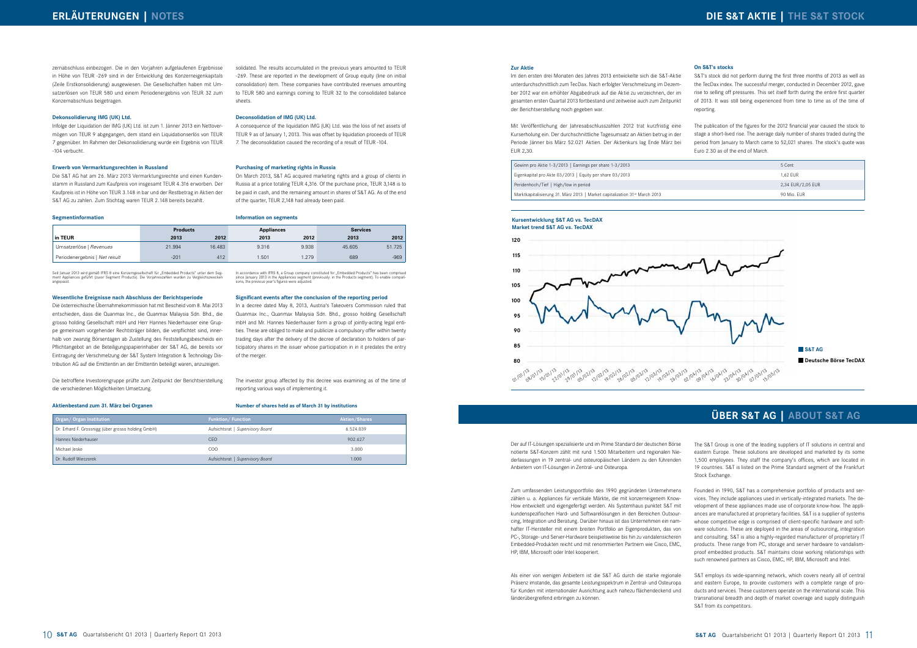The S&T Group is one of the leading suppliers of IT solutions in central and eastern Europe. These solutions are developed and marketed by its some 1,500 employees. They staff the company's offices, which are located in 19 countries. S&T is listed on the Prime Standard segment of the Frankfurt Stock Exchange.

Founded in 1990, S&T has a comprehensive portfolio of products and services. They include appliances used in vertically-integrated markets. The development of these appliances made use of corporate know-how. The appliances are manufactured at proprietary facilities. S&T is a supplier of systems whose competitive edge is comprised of client-specific hardware and software solutions. These are deployed in the areas of outsourcing, integration and consulting. S&T is also a highly-regarded manufacturer of proprietary IT products. These range from PC, storage and server hardware to vandalismproof embedded products. S&T maintains close working relationships with such renowned partners as Cisco, EMC, HP, IBM, Microsoft and Intel.

S&T employs its wide-spanning network, which covers nearly all of central and eastern Europe, to provide customers with a complete range of products and services. These customers operate on the international scale. This transnational breadth and depth of market coverage and supply distinguish S&T from its competitors.

Der auf IT-Lösungen spezialisierte und im Prime Standard der deutschen Börse notierte S&T-Konzern zählt mit rund 1.500 Mitarbeitern und regionalen Niederlassungen in 19 zentral- und osteuropäischen Ländern zu den führenden Anbietern von IT-Lösungen in Zentral- und Osteuropa.

Seit Januar 2013 wird gemäß IFRS 8 eine Konzerngesellschaft für "Embedded Products" unter dem Seg-<br>ment Appliances geführt (zuvor Segment Products). Die Vorjahreszahlen wurden zu Vergleichszwecken angepasst.

> Zum umfassenden Leistungsportfolio des 1990 gegründeten Unternehmens zählen u. a. Appliances für vertikale Märkte, die mit konzerneigenem Know-How entwickelt und eigengefertigt werden. Als Systemhaus punktet S&T mit kundenspezifischen Hard- und Softwarelösungen in den Bereichen Outsourcing, Integration und Beratung. Darüber hinaus ist das Unternehmen ein namhafter IT-Hersteller mit einem breiten Portfolio an Eigenprodukten, das von PC-, Storage- und Server-Hardware beispielsweise bis hin zu vandalensicheren Embedded-Produkten reicht und mit renommierten Partnern wie Cisco, EMC, HP, IBM, Microsoft oder Intel kooperiert.

> Als einer von wenigen Anbietern ist die S&T AG durch die starke regionale Präsenz imstande, das gesamte Leistungsspektrum in Zentral- und Osteuropa für Kunden mit internationaler Ausrichtung auch nahezu flächendeckend und länderübergreifend erbringen zu können.

# **ÜBER S&T AG | ABOUT S&T AG**

zernabschluss einbezogen. Die in den Vorjahren aufgelaufenen Ergebnisse in Höhe von TEUR -269 sind in der Entwicklung des Konzerneigenkapitals (Zeile Erstkonsolidierung) ausgewiesen. Die Gesellschaften haben mit Umsatzerlösen von TEUR 580 und einem Periodenergebnis von TEUR 32 zum Konzernabschluss beigetragen.

#### **Dekonsolidierung IMG (UK) Ltd.**

Infolge der Liquidation der IMG (UK) Ltd. ist zum 1. Jänner 2013 ein Nettovermögen von TEUR 9 abgegangen, dem stand ein Liquidationserlös von TEUR 7 gegenüber. Im Rahmen der Dekonsolidierung wurde ein Ergebnis von TEUR -104 verbucht.

#### **Erwerb von Vermarktungsrechten in Russland**

Die S&T AG hat am 26. März 2013 Vermarktungsrechte und einen Kundenstamm in Russland zum Kaufpreis von insgesamt TEUR 4.316 erworben. Der Kaufpreis ist in Höhe von TEUR 3.148 in bar und der Restbetrag in Aktien der S&T AG zu zahlen. Zum Stichtag waren TEUR 2.148 bereits bezahlt.

**Segmentinformation**

#### **Wesentliche Ereignisse nach Abschluss der Berichtsperiode**

Die österreichische Übernahmekommission hat mit Bescheid vom 8. Mai 2013 entschieden, dass die Quanmax Inc., die Quanmax Malaysia Sdn. Bhd., die grosso holding Gesellschaft mbH und Herr Hannes Niederhauser eine Gruppe gemeinsam vorgehender Rechtsträger bilden, die verpflichtet sind, innerhalb von zwanzig Börsentagen ab Zustellung des Feststellungsbescheids ein Pflichtangebot an die Beteiligungspapierinhaber der S&T AG, die bereits vor Eintragung der Verschmelzung der S&T System Integration & Technology Distribution AG auf die Emittentin an der Emittentin beteiligt waren, anzuzeigen.

Die betroffene Investorengruppe prüfte zum Zeitpunkt der Berichtserstellung die verschiedenen Möglichkeiten Umsetzung.

#### **Aktienbestand zum 31. März bei Organen**

#### **Zur Aktie**

Im den ersten drei Monaten des Jahres 2013 entwickelte sich die S&T-Aktie unterdurchschnittlich zum TecDax. Nach erfolgter Verschmelzung im Dezember 2012 war ein erhöhter Abgabedruck auf die Aktie zu verzeichnen, der im gesamten ersten Quartal 2013 fortbestand und zeitweise auch zum Zeitpunkt der Berichtserstellung noch gegeben war.

Mit Veröffentlichung der Jahresabschlusszahlen 2012 trat kurzfristig eine Kurserholung ein. Der durchschnittliche Tagesumsatz an Aktien betrug in der Periode Jänner bis März 52.021 Aktien. Der Aktienkurs lag Ende März bei EUR 2,30.

| Organ/Organ Institution                            | <b>Funktion/Function</b>         | <b>Aktien/Shares</b> |
|----------------------------------------------------|----------------------------------|----------------------|
| Dr. Erhard F. Grossnigg (über grosso holding GmbH) | Aufsichtsrat   Supervisory Board | 6.524.039            |
| Hannes Niederhauser                                | CEO                              | 902.627              |
| Michael leske                                      | COO                              | 3.000                |
| Dr. Rudolf Wieczorek                               | Aufsichtsrat   Supervisory Board | 1.000                |

| Gewinn pro Aktie 1-3/2013   Earnings per share 1-3/2013 | 5 Cent |
|---------------------------------------------------------|--------|
|                                                         |        |

Eigenkapital pro Akte 03/2013 | Equity per share 03/2013

Peridenhoch/Tief | High/low in period

Marktkapitalisierung 31. März 2013 | Market capitalization 31st March 2013



#### **Kursentwicklung S&T AG vs. TecDAX Market trend S&T AG vs. TecDAX**

solidated. The results accumulated in the previous years amounted to TEUR -269. These are reported in the development of Group equity (line on initial consolidation) item. These companies have contributed revenues amounting to TEUR 580 and earnings coming to TEUR 32 to the consolidated balance sheets.

#### **Deconsolidation of IMG (UK) Ltd.**

A consequence of the liquidation IMG (UK) Ltd. was the loss of net assets of TEUR 9 as of January 1, 2013. This was offset by liquidation proceeds of TEUR 7. The deconsolidation caused the recording of a result of TEUR -104.

#### **Purchasing of marketing rights in Russia**

On March 2013, S&T AG acquired marketing rights and a group of clients in Russia at a price totaling TEUR 4,316. Of the purchase price, TEUR 3,148 is to be paid in cash, and the remaining amount in shares of S&T AG. As of the end of the quarter, TEUR 2,148 had already been paid.

In accordance with IFRS 8, a Group company constituted for "Embedded Products" has been comprised<br>since January 2013 in the Appliances segment (previously: in the Products segment). To enable compari-<br>sons, the previous ye

#### **Information on segments**

**Significant events after the conclusion of the reporting period** In a decree dated May 8, 2013, Austria's Takeovers Commission ruled that Quanmax Inc., Quanmax Malaysia Sdn. Bhd., grosso holding Gesellschaft mbH and Mr. Hannes Niederhauser form a group of jointly-acting legal entities. These are obliged to make and publicize a compulsory offer within twenty trading days after the delivery of the decree of declaration to holders of participatory shares in the issuer whose participation in in it predates the entry

of the merger.

The investor group affected by this decree was examining as of the time of

reporting various ways of implementing it.

#### **Number of shares held as of March 31 by institutions**

#### **On S&T's stocks**

S&T's stock did not perform during the first three months of 2013 as well as the TecDax index. The successful merger, conducted in December 2012, gave rise to selling off pressures. This set itself forth during the entire first quarter of 2013. It was still being experienced from time to time as of the time of reporting.

The publication of the figures for the 2012 financial year caused the stock to stage a short-lived rise. The average daily number of shares traded during the period from January to March came to 52,021 shares. The stock's quote was Euro 2.30 as of the end of March.

| 5 Cent            |
|-------------------|
| 1,62 EUR          |
| 2,34 EUR/2,05 EUR |
| 90 Mio. EUR       |
|                   |

|                               | <b>Products</b> |        | <b>Appliances</b> |       | <b>Services</b> |        |
|-------------------------------|-----------------|--------|-------------------|-------|-----------------|--------|
| in TEUR                       | 2013            | 2012   | 2013              | 2012  | 2013            | 2012   |
| Umsatzerlöse   Revenues       | 21.994          | 16.483 | 9.316             | 9.938 | 45.605          | 51.725 |
| Periodenergebnis   Net result | $-201$          | 412    | .501              | .279  | 689             | $-969$ |